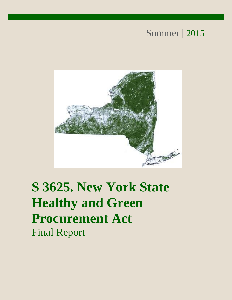## Summer | 2015



# **S 3625. New York State Healthy and Green Procurement Act** Final Report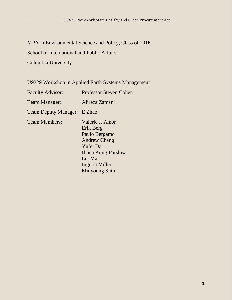MPA in Environmental Science and Policy, Class of 2016 School of International and Public Affairs Columbia University

U9229 Workshop in Applied Earth Systems Management

| <b>Faculty Advisor:</b>     | <b>Professor Steven Cohen</b>                                                                                                                                |
|-----------------------------|--------------------------------------------------------------------------------------------------------------------------------------------------------------|
| Team Manager:               | Alireza Zamani                                                                                                                                               |
| <b>Team Deputy Manager:</b> | E Zhao                                                                                                                                                       |
| <b>Team Members:</b>        | Valerie J. Amor<br>Erik Berg<br>Paulo Bergamo<br><b>Andrew Chang</b><br>Yufei Dai<br>Ilinca Kung-Parslow<br>Lei Ma<br>Ingeria Miller<br><b>Minyoung Shin</b> |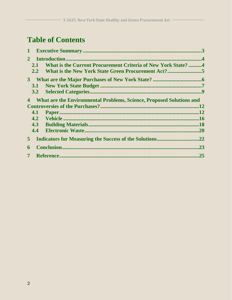## **Table of Contents**

|                         | $\mathbf{1}$ |                                                                             |     |
|-------------------------|--------------|-----------------------------------------------------------------------------|-----|
| 2 <sup>1</sup>          |              |                                                                             |     |
|                         | 2.1          | What is the Current Procurement Criteria of New York State? 4               |     |
|                         | 2.2          |                                                                             |     |
|                         |              |                                                                             |     |
|                         |              |                                                                             |     |
|                         | 3.2          |                                                                             |     |
| 4                       |              | <b>What are the Environmental Problems, Science, Proposed Solutions and</b> |     |
|                         |              |                                                                             | .12 |
|                         | 4.1          |                                                                             | .12 |
|                         |              |                                                                             |     |
|                         |              |                                                                             |     |
|                         | 4.4          |                                                                             |     |
| 5 <sup>1</sup>          |              |                                                                             |     |
| 6                       |              |                                                                             | .23 |
| $\overline{\mathbf{7}}$ |              |                                                                             | .25 |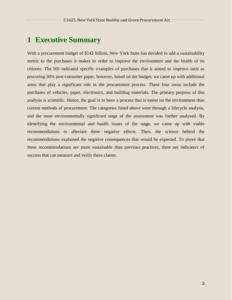## **1 Executive Summary**

With a procurement budget of \$142 billion, New York State has decided to add a sustainability metric to the purchases it makes in order to improve the environment and the health of its citizens. The bill indicated specific examples of purchases that it aimed to improve such as procuring 30% post-consumer paper, however, based on the budget; we came up with additional areas that play a significant role in the procurement process. These four areas include the purchases of vehicles, paper, electronics, and building materials. The primary purpose of this analysis is scientific. Hence, the goal is to have a process that is easier on the environment than current methods of procurement. The categories listed above went through a lifecycle analysis, and the most environmentally significant stage of the assessment was further analyzed. By identifying the environmental and health issues of the stage, we came up with viable recommendations to alleviate these negative effects. Then, the science behind the recommendations explained the negative consequences that would be expected. To prove that these recommendations are more sustainable than previous practices, there are indicators of success that can measure and verify these claims.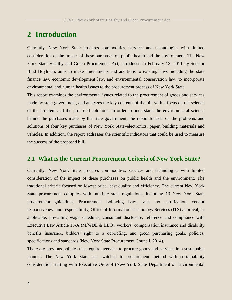## **2 Introduction**

Currently, New York State procures commodities, services and technologies with limited consideration of the impact of these purchases on public health and the environment. The New York State Healthy and Green Procurement Act, introduced in February 13, 2011 by Senator Brad Hoylman, aims to make amendments and additions to existing laws including the state finance law, economic development law, and environmental conservation law, to incorporate environmental and human health issues to the procurement process of New York State.

This report examines the environmental issues related to the procurement of goods and services made by state government, and analyzes the key contents of the bill with a focus on the science of the problem and the proposed solutions. In order to understand the environmental science behind the purchases made by the state government, the report focuses on the problems and solutions of four key purchases of New York State–electronics, paper, building materials and vehicles. In addition, the report addresses the scientific indicators that could be used to measure the success of the proposed bill.

#### **2.1 What is the Current Procurement Criteria of New York State?**

Currently, New York State procures commodities, services and technologies with limited consideration of the impact of these purchases on public health and the environment. The traditional criteria focused on lowest price, best quality and efficiency. The current New York State procurement complies with multiple state regulations, including 13 New York State procurement guidelines, Procurement Lobbying Law, sales tax certification, vendor responsiveness and responsibility, Office of Information Technology Services (ITS) approval, as applicable, prevailing wage schedules, consultant disclosure, reference and compliance with Executive Law Article 15-A (M/WBE & EEO), workers' compensation insurance and disability benefits insurance, bidders' right to a debriefing, and green purchasing goals, policies, specifications and standards (New York State Procurement Council, 2014).

There are previous policies that require agencies to procure goods and services in a sustainable manner. The New York State has switched to procurement method with sustainability consideration starting with Executive Order 4 (New York State Department of Environmental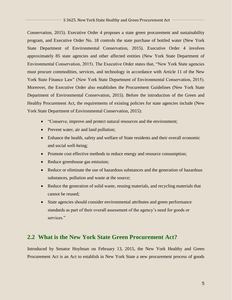Conservation, 2015). Executive Order 4 proposes a state green procurement and sustainability program, and Executive Order No. 18 controls the state purchase of bottled water (New York State Department of Environmental Conservation, 2015). Executive Order 4 involves approximately 85 state agencies and other affected entities (New York State Department of Environmental Conservation, 2015). The Executive Order states that, "New York State agencies must procure commodities, services, and technology in accordance with Article 11 of the New York State Finance Law" (New York State Department of Environmental Conservation, 2015). Moreover, the Executive Order also establishes the Procurement Guidelines (New York State Department of Environmental Conservation, 2015). Before the introduction of the Green and Healthy Procurement Act, the requirements of existing policies for state agencies include (New York State Department of Environmental Conservation, 2015):

- "Conserve, improve and protect natural resources and the environment;
- Prevent water, air and land pollution;
- Enhance the health, safety and welfare of State residents and their overall economic and social well-being;
- Promote cost effective methods to reduce energy and resource consumption;
- Reduce greenhouse gas emission;
- Reduce or eliminate the use of hazardous substances and the generation of hazardous substances, pollution and waste at the source;
- Reduce the generation of solid waste, reusing materials, and recycling materials that cannot be reused;
- State agencies should consider environmental attributes and green performance standards as part of their overall assessment of the agency's need for goods or services."

### **2.2 What is the New York State Green Procurement Act?**

Introduced by Senator Hoylman on February 13, 2015, the New York Healthy and Green Procurement Act is an Act to establish in New York State a new procurement process of goods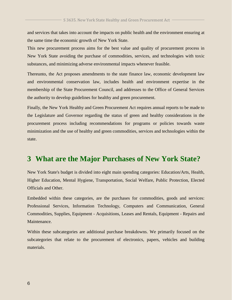and services that takes into account the impacts on public health and the environment ensuring at the same time the economic growth of New York State.

This new procurement process aims for the best value and quality of procurement process in New York State avoiding the purchase of commodities, services, and technologies with toxic substances, and minimizing adverse environmental impacts whenever feasible.

Thereunto, the Act proposes amendments to the state finance law, economic development law and environmental conservation law, includes health and environment expertise in the membership of the State Procurement Council, and addresses to the Office of General Services the authority to develop guidelines for healthy and green procurement.

Finally, the New York Healthy and Green Procurement Act requires annual reports to be made to the Legislature and Governor regarding the status of green and healthy considerations in the procurement process including recommendations for programs or policies towards waste minimization and the use of healthy and green commodities, services and technologies within the state.

## **3 What are the Major Purchases of New York State?**

New York State's budget is divided into eight main spending categories: Education/Arts, Health, Higher Education, Mental Hygiene, Transportation, Social Welfare, Public Protection, Elected Officials and Other.

Embedded within these categories, are the purchases for commodities, goods and services: Professional Services, Information Technology, Computers and Communication, General Commodities, Supplies, Equipment - Acquisitions, Leases and Rentals, Equipment - Repairs and Maintenance.

Within these subcategories are additional purchase breakdowns. We primarily focused on the subcategories that relate to the procurement of electronics, papers, vehicles and building materials.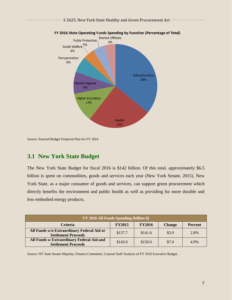

FY 2016 State Operating Funds Spending by Function (Percentage of Total)

Source: Enacted Budget Financial Plan for FY 2016

#### **3.1 New York State Budget**

The New York State Budget for fiscal 2016 is \$142 billion. Of this total, approximately \$6.5 billion is spent on commodities, goods and services each year (New York Senate, 2015). New York State, as a major consumer of goods and services, can support green procurement which directly benefits the environment and public health as well as providing for more durable and less embodied energy products.

| FY 2016 All Funds Spending (billion \$)                                  |               |               |               |                |
|--------------------------------------------------------------------------|---------------|---------------|---------------|----------------|
| <b>Criteria</b>                                                          | <b>FY2015</b> | <b>FY2016</b> | <b>Change</b> | <b>Percent</b> |
| All Funds w/o Extraordinary Federal Aid or<br><b>Settlement Proceeds</b> | \$137.7       | \$141.6       | \$3.9         | 2.8%           |
| All Funds w Extraordinary Federal Aid and<br><b>Settlement Proceeds</b>  | \$143.0       | \$150.0       | \$7.0         | 4.9%           |

Source: NY State Senate Majority, Finance Committee, Counsel Staff Analysis of FY 2016 Executive Budget.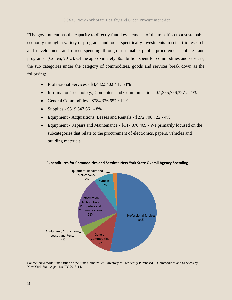"The government has the capacity to directly fund key elements of the transition to a sustainable economy through a variety of programs and tools, specifically investments in scientific research and development and direct spending through sustainable public procurement policies and programs" (Cohen, 2015). Of the approximately \$6.5 billion spent for commodities and services, the sub categories under the category of commodities, goods and services break down as the following:

- Professional Services \$3,432,540,844 : 53%
- Information Technology, Computers and Communication \$1,355,776,327 : 21%
- General Commodities  $$784,326,657:12\%$
- Supplies  $$519,547,661 8\%$
- Equipment Acquisitions, Leases and Rentals \$272,708,722 4%
- Equipment Repairs and Maintenance \$147,870,469 We primarily focused on the subcategories that relate to the procurement of electronics, papers, vehicles and building materials.



#### **Expenditures for Commodities and Services New York State Overall Agency Spending**

Source: New York State Office of the State Comptroller. Directory of Frequently Purchased Commodities and Services by New York State Agencies, FY 2013-14.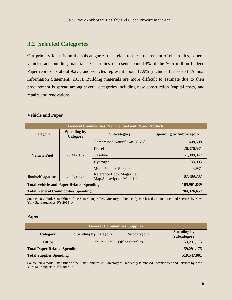### **3.2 Selected Categories**

Our primary focus is on the subcategories that relate to the procurement of electronics, papers, vehicles and building materials. Electronics represent about 14% of the \$6.5 million budget. Paper represents about 9.2%, and vehicles represent about 17.9% (includes fuel costs) (Annual Information Statement, 2015). Building materials are more difficult to estimate due to their procurement is spread among several categories including new construction (capital costs) and repairs and renovations.

#### **Vehicle and Paper**

| <b>General Commodities: Vehicle Fuel and Paper Products</b> |                                |                                                               |                                |
|-------------------------------------------------------------|--------------------------------|---------------------------------------------------------------|--------------------------------|
| Category                                                    | <b>Spending by</b><br>Category | <b>Subcategory</b>                                            | <b>Spending by Subcategory</b> |
| 78,412,102<br><b>Vehicle Fuel</b>                           |                                | <b>Compressed Natural Gas (CNG)</b>                           | 608,598                        |
|                                                             | <b>Diesel</b>                  | 26,376,531                                                    |                                |
|                                                             |                                | Gasoline                                                      | 51,388,047                     |
|                                                             |                                | Hydrogen                                                      | 33,995                         |
|                                                             |                                | <b>Motor Vehicle Propane</b>                                  | 4,931                          |
| <b>Books/Magazines</b>                                      | 87,489,737                     | Reference Book/Magazine/<br><b>Map/Subscription Materials</b> | 87,489,737                     |
| <b>Total Vehicle and Paper Related Spending</b>             |                                | 165,901,839                                                   |                                |
| <b>Total General Commodities Spending</b>                   |                                |                                                               | 784,326,657                    |

Source: New York State Office of the State Comptroller. Directory of Frequently Purchased Commodities and Services by New York State Agencies, FY 2013-14.

#### **Paper**

| <b>General Commodities: Supplies</b> |                             |                        |                                          |
|--------------------------------------|-----------------------------|------------------------|------------------------------------------|
| Category                             | <b>Spending by Category</b> | <b>Subcategory</b>     | <b>Spending by</b><br><b>Subcategory</b> |
| <b>Office</b>                        | 59, 291, 175                | <b>Office Supplies</b> | 59,291,175                               |
| <b>Total Paper Related Spending</b>  |                             |                        | 59,291,175                               |
| <b>Total Supplies Spending</b>       |                             |                        | 519,547,661                              |

Source: New York State Office of the State Comptroller. Directory of Frequently Purchased Commodities and Services by New York State Agencies, FY 2013-14.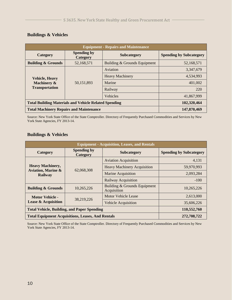| <b>Equipment - Repairs and Maintenance</b>                    |                                |                              |                                |
|---------------------------------------------------------------|--------------------------------|------------------------------|--------------------------------|
| Category                                                      | <b>Spending by</b><br>Category | <b>Subcategory</b>           | <b>Spending by Subcategory</b> |
| <b>Building &amp; Grounds</b>                                 | 52,168,571                     | Building & Grounds Equipment | 52,168,571                     |
| <b>Vehicle, Heavy</b><br>Machinery &<br><b>Transportation</b> | 50,151,893                     | Aviation                     | 3,347,679                      |
|                                                               |                                | <b>Heavy Machinery</b>       | 4,534,993                      |
|                                                               |                                | Marine                       | 401,002                        |
|                                                               |                                | Railway                      | 220                            |
|                                                               |                                | <b>Vehicles</b>              | 41,867,999                     |
| <b>Total Building Materials and Vehicle Related Spending</b>  |                                | 102,320,464                  |                                |
| <b>Total Machinery Repairs and Maintenance</b>                |                                | 147,870,469                  |                                |

#### **Buildings & Vehicles**

Source: New York State Office of the State Comptroller. Directory of Frequently Purchased Commodities and Services by New York State Agencies, FY 2013-14.

#### **Buildings & Vehicles**

| <b>Equipment - Acquisition, Leases, and Rentals</b>                        |                                |                                             |                                |
|----------------------------------------------------------------------------|--------------------------------|---------------------------------------------|--------------------------------|
| Category                                                                   | <b>Spending by</b><br>Category | <b>Subcategory</b>                          | <b>Spending by Subcategory</b> |
| <b>Heavy Machinery,</b><br><b>Aviation, Marine &amp;</b><br><b>Railway</b> | 62,068,308                     | <b>Aviation Acquisition</b>                 | 4,131                          |
|                                                                            |                                | <b>Heavy Machinery Acquisition</b>          | 59,970,993                     |
|                                                                            |                                | <b>Marine Acquisition</b>                   | 2,093,284                      |
|                                                                            |                                | <b>Railway Acquisition</b>                  | $-100$                         |
| <b>Building &amp; Grounds</b>                                              | 10,265,226                     | Building & Grounds Equipment<br>Acquisition | 10,265,226                     |
| <b>Motor Vehicle -</b>                                                     |                                | Motor Vehicle Lease                         | 2,613,000                      |
| 38,219,226<br><b>Lease &amp; Acquisition</b>                               | <b>Vehicle Acquisition</b>     | 35,606,226                                  |                                |
| <b>Total Vehicle, Building, and Paper Spending</b>                         |                                | 110,552,760                                 |                                |
| <b>Total Equipment Acquisitions, Leases, And Rentals</b>                   |                                |                                             | 272,708,722                    |

Source: New York State Office of the State Comptroller. Directory of Frequently Purchased Commodities and Services by New York State Agencies, FY 2013-14.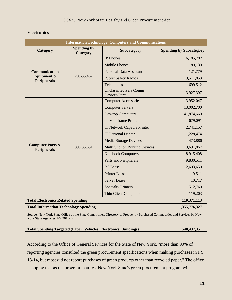#### **Electronics**

| <b>Information Technology, Computers and Communications</b> |                                |                                                |                                |
|-------------------------------------------------------------|--------------------------------|------------------------------------------------|--------------------------------|
| Category                                                    | <b>Spending by</b><br>Category | Subcategory                                    | <b>Spending by Subcategory</b> |
|                                                             | 20,635,462                     | <b>IP Phones</b>                               | 6,185,782                      |
|                                                             |                                | <b>Mobile Phones</b>                           | 189,139                        |
| <b>Communication</b>                                        |                                | <b>Personal Data Assistant</b>                 | 121,779                        |
| <b>Equipment &amp;</b><br><b>Peripherals</b>                |                                | <b>Public Safety Radios</b>                    | 9,511,853                      |
|                                                             |                                | Telephones                                     | 699,512                        |
|                                                             |                                | <b>Unclassified Pers Comm</b><br>Devices/Parts | 3,927,397                      |
|                                                             |                                | <b>Computer Accessories</b>                    | 3,952,047                      |
|                                                             | 89,735,651                     | <b>Computer Servers</b>                        | 13,002,700                     |
|                                                             |                                | <b>Desktop Computers</b>                       | 41,874,669                     |
|                                                             |                                | <b>IT Mainframe Printer</b>                    | 679,091                        |
| <b>Computer Parts &amp;</b><br><b>Peripherals</b>           |                                | <b>IT Network Capable Printer</b>              | 2,741,157                      |
|                                                             |                                | <b>IT Personal Printer</b>                     | 1,228,474                      |
|                                                             |                                | <b>Media Storage Devices</b>                   | 473,886                        |
|                                                             |                                | <b>Multifunction Printing Devices</b>          | 3,691,867                      |
|                                                             |                                | <b>Notebook Computers</b>                      | 8,915,408                      |
|                                                             |                                | <b>Parts and Peripherals</b>                   | 9,830,511                      |
|                                                             |                                | PC Lease                                       | 2,693,650                      |
|                                                             |                                | <b>Printer Lease</b>                           | 9,511                          |
|                                                             |                                | <b>Server Lease</b>                            | 10,717                         |
|                                                             |                                | <b>Specialty Printers</b>                      | 512,760                        |
|                                                             |                                | <b>Thin Client Computers</b>                   | 119,203                        |
| <b>Total Electronics Related Spending</b>                   |                                |                                                | 110,371,113                    |
| <b>Total Information Technology Spending</b>                |                                |                                                | 1,355,776,327                  |

Source: New York State Office of the State Comptroller. Directory of Frequently Purchased Commodities and Services by New York State Agencies, FY 2013-14.

| <b>Total Spending Targeted (Paper, Vehicles, Electronics, Buildings)</b> | 548, 437, 351 |
|--------------------------------------------------------------------------|---------------|
|                                                                          |               |

According to the Office of General Services for the State of New York, "more than 90% of reporting agencies consulted the green procurement specifications when making purchases in FY 13-14, but most did not report purchases of green products other than recycled paper." The office is hoping that as the program matures, New York State's green procurement program will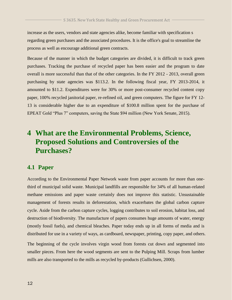increase as the users, vendors and state agencies alike, become familiar with specification s regarding green purchases and the associated procedures. It is the office's goal to streamline the process as well as encourage additional green contracts.

Because of the manner in which the budget categories are divided, it is difficult to track green purchases. Tracking the purchase of recycled paper has been easier and the program to date overall is more successful than that of the other categories. In the FY 2012 - 2013, overall green purchasing by state agencies was \$113.2. In the following fiscal year, FY 2013-2014, it amounted to \$11.2. Expenditures were for 30% or more post-consumer recycled content copy paper, 100% recycled janitorial paper, re-refined oil, and green computers. The figure for FY 12- 13 is considerable higher due to an expenditure of \$100.8 million spent for the purchase of EPEAT Gold "Plus 7" computers, saving the State \$94 million (New York Senate, 2015).

## **4 What are the Environmental Problems, Science, Proposed Solutions and Controversies of the Purchases?**

#### **4.1 Paper**

According to the Environmental Paper Network waste from paper accounts for more than onethird of municipal solid waste. Municipal landfills are responsible for 34% of all human-related methane emissions and paper waste certainly does not improve this statistic. Unsustainable management of forests results in deforestation, which exacerbates the global carbon capture cycle. Aside from the carbon capture cycles, logging contributes to soil erosion, habitat loss, and destruction of biodiversity. The manufacture of papers consumes huge amounts of water, energy (mostly fossil fuels), and chemical bleaches. Paper today ends up in all forms of media and is distributed for use in a variety of ways, as cardboard, newspaper, printing, copy paper, and others.

The beginning of the cycle involves virgin wood from forests cut down and segmented into smaller pieces. From here the wood segments are sent to the Pulping Mill. Scraps from lumber mills are also transported to the mills as recycled by-products (Gullichsen, 2000).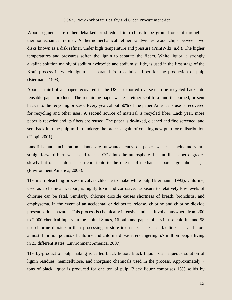Wood segments are either debarked or shredded into chips to be ground or sent through a thermomechanical refiner. A thermomechanical refiner sandwiches wood chips between two disks known as a disk refiner, under high temperature and pressure (PrintWiki, n.d.). The higher temperatures and pressures soften the lignin to separate the fibers. White liquor, a strongly alkaline solution mainly of sodium hydroxide and sodium sulfide, is used in the first stage of the Kraft process in which lignin is separated from cellulose fiber for the production of pulp (Biermann, 1993).

About a third of all paper recovered in the US is exported overseas to be recycled back into reusable paper products. The remaining paper waste is either sent to a landfill, burned, or sent back into the recycling process. Every year, about 50% of the paper Americans use is recovered for recycling and other uses. A second source of material is recycled fiber. Each year, more paper is recycled and its fibers are reused. The paper is de-inked, cleaned and fine screened, and sent back into the pulp mill to undergo the process again of creating new pulp for redistribution (Tappi, 2001).

Landfills and incineration plants are unwanted ends of paper waste. Incinerators are straightforward burn waste and release CO2 into the atmosphere. In landfills, paper degrades slowly but once it does it can contribute to the release of methane, a potent greenhouse gas (Environment America, 2007).

The main bleaching process involves chlorine to make white pulp (Biermann, 1993). Chlorine, used as a chemical weapon, is highly toxic and corrosive. Exposure to relatively low levels of chlorine can be fatal. Similarly, chlorine dioxide causes shortness of breath, bronchitis, and emphysema. In the event of an accidental or deliberate release, chlorine and chlorine dioxide present serious hazards. This process is chemically intensive and can involve anywhere from 200 to 2,000 chemical inputs. In the United States, 16 pulp and paper mills still use chlorine and 58 use chlorine dioxide in their processing or store it on-site. These 74 facilities use and store almost 4 million pounds of chlorine and chlorine dioxide, endangering 5.7 million people living in 23 different states (Environment America, 2007).

The by-product of pulp making is called black liquor. Black liquor is an aqueous solution of lignin residues, hemicellulose, and inorganic chemicals used in the process. Approximately 7 tons of black liquor is produced for one ton of pulp. Black liquor comprises 15% solids by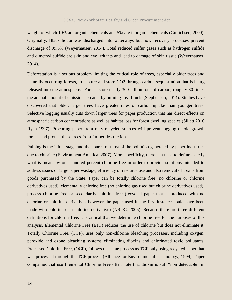weight of which 10% are organic chemicals and 5% are inorganic chemicals (Gullichsen, 2000). Originally, Black liquor was discharged into waterways but now recovery processes prevent discharge of 99.5% (Weyerhauser, 2014). Total reduced sulfur gases such as hydrogen sulfide and dimethyl sulfide are skin and eye irritants and lead to damage of skin tissue (Weyerhauser, 2014).

Deforestation is a serious problem limiting the critical role of trees, especially older trees and naturally occurring forests, to capture and store CO2 through carbon sequestration that is being released into the atmosphere. Forests store nearly 300 billion tons of carbon, roughly 30 times the annual amount of emissions created by burning fossil fuels (Stephenson, 2014). Studies have discovered that older, larger trees have greater rates of carbon uptake than younger trees. Selective logging usually cuts down larger trees for paper production that has direct effects on atmospheric carbon concentrations as well as habitat loss for forest dwelling species (Sillett 2010, Ryan 1997). Procuring paper from only recycled sources will prevent logging of old growth forests and protect these trees from further destruction.

Pulping is the initial stage and the source of most of the pollution generated by paper industries due to chlorine (Environment America, 2007). More specificity, there is a need to define exactly what is meant by one hundred percent chlorine free in order to provide solutions intended to address issues of large paper wastage, efficiency of resource use and also removal of toxins from goods purchased by the State. Paper can be totally chlorine free (no chlorine or chlorine derivatives used), elementally chlorine free (no chlorine gas used but chlorine derivatives used), process chlorine free or secondarily chlorine free (recycled paper that is produced with no chlorine or chlorine derivatives however the paper used in the first instance could have been made with chlorine or a chlorine derivative) (NRDC, 2006). Because there are three different definitions for chlorine free, it is critical that we determine chlorine free for the purposes of this analysis. Elemental Chlorine Free (ETF) reduces the use of chlorine but does not eliminate it. Totally Chlorine Free, (TCF), uses only non-chlorine bleaching processes, including oxygen, peroxide and ozone bleaching systems eliminating dioxins and chlorinated toxic pollutants. Processed Chlorine Free, (OCF), follows the same process as TCF only using recycled paper that was processed through the TCF process (Alliance for Environmental Technology, 1994). Paper companies that use Elemental Chlorine Free often note that dioxin is still "non detectable" in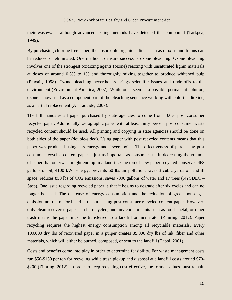their wastewater although advanced testing methods have detected this compound (Tarkpea, 1999).

By purchasing chlorine free paper, the absorbable organic halides such as dioxins and furans can be reduced or eliminated. One method to ensure success is ozone bleaching. Ozone bleaching involves one of the strongest oxidizing agents (ozone) reacting with unsaturated lignin materials at doses of around 0.5% to 1% and thoroughly mixing together to produce whitened pulp (Praxair, 1998). Ozone bleaching nevertheless brings scientific issues and trade-offs to the environment (Environment America, 2007). While once seen as a possible permanent solution, ozone is now used as a component part of the bleaching sequence working with chlorine dioxide, as a partial replacement (Air Liquide, 2007).

The bill mandates all paper purchased by state agencies to come from 100% post consumer recycled paper. Additionally, xerographic paper with at least thirty percent post consumer waste recycled content should be used. All printing and copying in state agencies should be done on both sides of the paper (double-sided). Using paper with post recycled contents means that this paper was produced using less energy and fewer toxins. The effectiveness of purchasing post consumer recycled content paper is just as important as consumer use in decreasing the volume of paper that otherwise might end up in a landfill. One ton of new paper recycled conserves 463 gallons of oil, 4100 kWh energy, prevents 60 lbs air pollution, saves 3 cubic yards of landfill space, reduces 850 lbs of CO2 emissions, saves 7000 gallons of water and 17 trees (NYSDEC – Stop). One issue regarding recycled paper is that it begins to degrade after six cycles and can no longer be used. The decrease of energy consumption and the reduction of green house gas emission are the major benefits of purchasing post consumer recycled content paper. However, only clean recovered paper can be recycled, and any contaminants such as food, metal, or other trash means the paper must be transferred to a landfill or incinerator (Zimring, 2012). Paper recycling requires the highest energy consumption among all recyclable materials. Every 100,000 dry lbs of recovered paper in a pulper creates 35,000 dry lbs of ink, fiber and other materials, which will either be burned, composed, or sent to the landfill (Tappi, 2001).

Costs and benefits come into play in order to determine feasibility. For waste management costs run \$50-\$150 per ton for recycling while trash pickup and disposal at a landfill costs around \$70- \$200 (Zimring, 2012). In order to keep recycling cost effective, the former values must remain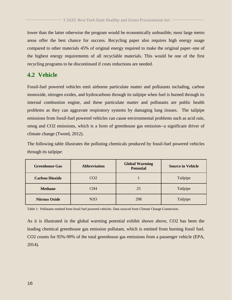## lower than the latter otherwise the program would be economically unfeasible; most large metro areas offer the best chance for success. Recycling paper also requires high energy usage compared to other materials 45% of original energy required to make the original paper–one of the highest energy requirements of all recyclable materials. This would be one of the first recycling programs to be discontinued if costs reductions are needed.

### **4.2 Vehicle**

Fossil-fuel powered vehicles emit airborne particulate matter and pollutants including, carbon monoxide, nitrogen oxides, and hydrocarbons through its tailpipe when fuel is burned through its internal combustion engine, and these particulate matter and pollutants are public health problems as they can aggravate respiratory systems by damaging lung tissues. The tailpipe emissions from fossil-fuel powered vehicles can cause environmental problems such as acid rain, smog and CO2 emissions, which is a form of greenhouse gas emission--a significant driver of climate change (Tweed, 2012).

The following table illustrates the polluting chemicals produced by fossil-fuel powered vehicles through its tailpipe:

| <b>Greenhouse Gas</b> | <b>Abbreviation</b> | <b>Global Warming</b><br><b>Potential</b> | <b>Source in Vehicle</b> |
|-----------------------|---------------------|-------------------------------------------|--------------------------|
| <b>Carbon Dioxide</b> | CO <sub>2</sub>     |                                           | Tailpipe                 |
| <b>Methane</b>        | CH <sub>4</sub>     | 25                                        | Tailpipe                 |
| <b>Nitrous Oxide</b>  | N2O                 | 298                                       | Tailpipe                 |

Table 1: Pollutants emitted from fossil fuel powered vehicles. Data sourced from Climate Change Connection.

As it is illustrated in the global warming potential exhibit shown above, CO2 has been the leading chemical greenhouse gas emission pollutant, which is emitted from burning fossil fuel. CO2 counts for 95%-99% of the total greenhouse gas emissions from a passenger vehicle (EPA, 2014).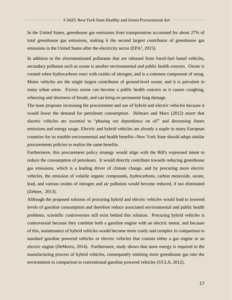In the United States, greenhouse gas emissions from transportation accounted for about 27% of total greenhouse gas emissions, making it the second largest contributor of greenhouse gas emissions in the United States after the electricity sector ( $EPA<sup>1</sup>$ , 2015).

In addition to the aforementioned pollutants that are released from fossil-fuel based vehicles, secondary pollutant such as ozone is another environmental and public health concern. Ozone is created when hydrocarbons react with oxides of nitrogen, and is a common component of smog. Motor vehicles are the single largest contributor of ground-level ozone, and it is prevalent in many urban areas. Excess ozone can become a public health concern as it causes coughing, wheezing and shortness of breath, and can bring on permanent lung damage.

The team proposes increasing the procurement and use of hybrid and electric vehicles because it would lower the demand for petroleum consumption. Helmars and Marx (2012) assert that electric vehicles are essential to "phasing out dependence on oil" and decreasing future emissions and energy usage. Electric and hybrid vehicles are already a staple in many European countries for its notable environmental and health benefits--New York State should adopt similar procurements policies to realize the same benefits.

Furthermore, this procurement policy strategy would align with the Bill's expressed intent to reduce the consumption of petroleum. It would directly contribute towards reducing greenhouse gas emissions, which is a leading driver of climate change, and by procuring more electric vehicles, the emission of volatile organic compounds, hydrocarbons, carbon monoxide, ozone, lead, and various oxides of nitrogen and air pollution would become reduced, if not eliminated (Zehner, 2013).

Although the proposed solution of procuring hybrid and electric vehicles would lead to lowered levels of gasoline consumption and therefore reduce associated environmental and public health problems, scientific controversies still exist behind this solution. Procuring hybrid vehicles is controversial because they combine both a gasoline engine with an electric motor, and because of this, maintenance of hybrid vehicles would become more costly and complex in comparison to standard gasoline powered vehicles or electric vehicles that contain either a gas engine or an electric engine (DeMorro, 2014). Furthermore, study shows that more energy is required in the manufacturing process of hybrid vehicles, consequently emitting more greenhouse gas into the environment in comparison to conventional gasoline powered vehicles (UCLA, 2012).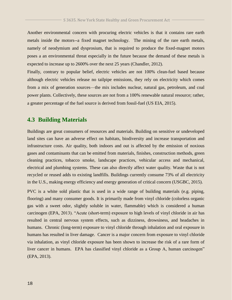Another environmental concern with procuring electric vehicles is that it contains rare earth metals inside the motors--a fixed magnet technology. The mining of the rare earth metals, namely of neodymium and dysprosium, that is required to produce the fixed-magnet motors poses a an environmental threat especially in the future because the demand of these metals is expected to increase up to 2600% over the next 25 years (Chandler, 2012).

Finally, contrary to popular belief, electric vehicles are not 100% clean-fuel based because although electric vehicles release no tailpipe emissions, they rely on electricity which comes from a mix of generation sources—the mix includes nuclear, natural gas, petroleum, and coal power plants. Collectively, these sources are not from a 100% renewable natural resource; rather, a greater percentage of the fuel source is derived from fossil-fuel (US EIA, 2015).

#### **4.3 Building Materials**

Buildings are great consumers of resources and materials. Building on sensitive or undeveloped land sites can have an adverse effect on habitats, biodiversity and increase transportation and infrastructure costs. Air quality, both indoors and out is affected by the emission of noxious gases and contaminants that can be emitted from materials, finishes, construction methods, green cleaning practices, tobacco smoke, landscape practices, vehicular access and mechanical, electrical and plumbing systems. These can also directly affect water quality. Waste that is not recycled or reused adds to existing landfills. Buildings currently consume 73% of all electricity in the U.S., making energy efficiency and energy generation of critical concern (USGBC, 2015).

PVC is a white sold plastic that is used in a wide range of building materials (e.g. piping, flooring) and many consumer goods. It is primarily made from vinyl chloride (colorless organic gas with a sweet odor, slightly soluble in water, flammable) which is considered a human carcinogen (EPA, 2013). "Acute (short-term) exposure to high levels of vinyl chloride in air has resulted in central nervous system effects, such as dizziness, drowsiness, and headaches in humans. Chronic (long-term) exposure to vinyl chloride through inhalation and oral exposure in humans has resulted in liver damage. Cancer is a major concern from exposure to vinyl chloride via inhalation, as vinyl chloride exposure has been shown to increase the risk of a rare form of liver cancer in humans. EPA has classified vinyl chloride as a Group A, human carcinogen" (EPA, 2013).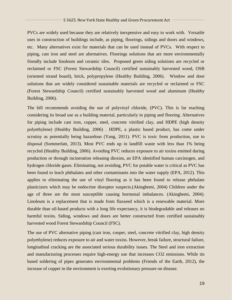PVCs are widely used because they are relatively inexpensive and easy to work with. Versatile uses in construction of buildings include, as piping, floorings, sidings and doors and windows, etc. Many alternatives exist for materials that can be used instead of PVCs. With respect to piping, cast iron and steel are alternatives. Floorings solutions that are more environmentally friendly include linoleum and ceramic tiles. Proposed green siding solutions are recycled or reclaimed or FSC (Forest Stewardship Council) certified sustainably harvested wood, OSB (oriented strand board), brick, polypropylene (Healthy Building, 2006). Window and door solutions that are widely considered sustainable materials are recycled or reclaimed or FSC (Forest Stewardship Council) certified sustainably harvested wood and aluminum (Healthy Building, 2006).

The bill recommends avoiding the use of polyvinyl chloride, (PVC). This is far reaching considering its broad use as a building material, particularly in piping and flooring. Alternatives for piping include cast iron, copper, steel, concrete vitrified clay, and HDPE (high density polyethylene) (Healthy Building, 2006) . HDPE, a plastic based product, has come under scrutiny as potentially being hazardous (Yang, 2011). PVC is toxic from production, use to disposal (Sommerlatt, 2013). Most PVC ends up in landfill waste with less than 1% being recycled (Healthy Building, 2006). Avoiding PVC reduces exposure to air toxins emitted during production or through incineration releasing dioxins, an EPA identified human carcinogen, and hydrogen chloride gases. Eliminating, not avoiding, PVC for potable water is critical as PVC has been found to leach phthalates and other contaminants into the water supply (EPA, 2012). This applies to eliminating the use of vinyl flooring as it has been found to release phthalate plasticizers which may be endocrine disruptor suspects.(Akingbemi, 2004) Children under the age of three are the most susceptible causing hormonal imbalances. (Akingbemi, 2004). Linoleum is a replacement that is made from flaxseed which is a renewable material. More durable than oil-based products with a long life expectancy, it is biodegradable and releases no harmful toxins. Siding, windows and doors are better constructed from certified sustainably harvested wood Forest Stewardship Council (FSC).

The use of PVC alternative piping (cast iron, cooper, steel, concrete vitrified clay, high density polyethylene) reduces exposure to air and water toxins. However, break failure, structural failure, longitudinal cracking are the associated serious durability issues. The Steel and iron extraction and manufacturing processes require high-energy use that increases CO2 emissions. While tin based soldering of pipes generates environmental problems (Friends of the Earth, 2012), the increase of copper in the environment is exerting evolutionary pressure on disease.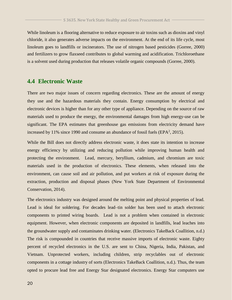### While linoleum is a flooring alternative to reduce exposure to air toxins such as dioxins and vinyl chloride, it also generates adverse impacts on the environment. At the end of its life cycle, most linoleum goes to landfills or incinerators. The use of nitrogen based pesticides (Gorree, 2000) and fertilizers to grow flaxseed contributes to global warming and acidification. Trichloroethane is a solvent used during production that releases volatile organic compounds (Gorree, 2000).

#### **4.4 Electronic Waste**

There are two major issues of concern regarding electronics. These are the amount of energy they use and the hazardous materials they contain. Energy consumption by electrical and electronic devices is higher than for any other type of appliance. Depending on the source of raw materials used to produce the energy, the environmental damages from high energy-use can be significant. The EPA estimates that greenhouse gas emissions from electricity demand have increased by 11% since 1990 and consume an abundance of fossil fuels ( $EPA<sup>2</sup>$ , 2015).

While the Bill does not directly address electronic waste, it does state its intention to increase energy efficiency by utilizing and reducing pollution while improving human health and protecting the environment. Lead, mercury, beryllium, cadmium, and chromium are toxic materials used in the production of electronics. These elements, when released into the environment, can cause soil and air pollution, and put workers at risk of exposure during the extraction, production and disposal phases (New York State Department of Environmental Conservation, 2014).

The electronics industry was designed around the melting point and physical properties of lead. Lead is ideal for soldering. For decades lead–tin solder has been used to attach electronic components to printed wiring boards. Lead is not a problem when contained in electronic equipment. However, when electronic components are deposited in landfills, lead leaches into the groundwater supply and contaminates drinking water. (Electronics TakeBack Coallition, n.d.) The risk is compounded in countries that receive massive imports of electronic waste. Eighty percent of recycled electronics in the U.S. are sent to China, Nigeria, India, Pakistan, and Vietnam. Unprotected workers, including children, strip recyclables out of electronic components in a cottage industry of sorts (Electronics TakeBack Coallition, n.d.). Thus, the team opted to procure lead free and Energy Star designated electronics. Energy Star computers use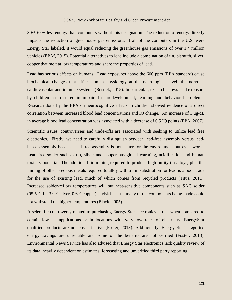30%-65% less energy than computers without this designation. The reduction of energy directly impacts the reduction of greenhouse gas emissions. If all of the computers in the U.S. were Energy Star labeled, it would equal reducing the greenhouse gas emissions of over 1.4 million vehicles (EPA<sup>2</sup>, 2015). Potential alternatives to lead include a combination of tin, bismuth, silver, copper that melt at low temperatures and share the properties of lead.

Lead has serious effects on humans. Lead exposures above the 600 ppm (EPA standard) cause biochemical changes that affect human physiology at the neurological level, the nervous, cardiovascular and immune systems (Bostick, 2015). In particular, research shows lead exposure by children has resulted in impaired neurodevelopment, learning and behavioral problems. Research done by the EPA on neurocognitive effects in children showed evidence of a direct correlation between increased blood lead concentrations and IQ change. An increase of 1 ug/dL in average blood lead concentration was associated with a decrease of 0.5 IQ points (EPA, 2007).

Scientific issues, controversies and trade-offs are associated with seeking to utilize lead free electronics. Firstly, we need to carefully distinguish between lead-free assembly versus leadbased assembly because lead-free assembly is not better for the environment but even worse. Lead free solder such as tin, silver and copper has global warming, acidification and human toxicity potential. The additional tin mining required to produce high-purity tin alloys, plus the mining of other precious metals required to alloy with tin in substitution for lead is a poor trade for the use of existing lead, much of which comes from recycled products (Titus, 2011). Increased solder-reflow temperatures will put heat-sensitive components such as SAC solder (95.5% tin, 3.9% silver, 0.6% copper) at risk because many of the components being made could not withstand the higher temperatures (Black, 2005).

A scientific controversy related to purchasing Energy Star electronics is that when compared to certain low-use applications or in locations with very low rates of electricity, EnergyStar qualified products are not cost-effective (Foster, 2013). Additionally, Energy Star's reported energy savings are unreliable and some of the benefits are not verified (Foster, 2013). Environmental News Service has also advised that Energy Star electronics lack quality review of its data, heavily dependent on estimates, forecasting and unverified third party reporting.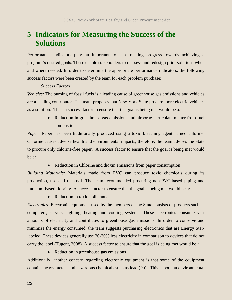## **5 Indicators for Measuring the Success of the Solutions**

Performance indicators play an important role in tracking progress towards achieving a program's desired goals. These enable stakeholders to reassess and redesign prior solutions when and where needed. In order to determine the appropriate performance indicators, the following success factors were been created by the team for each problem purchase:

#### *Success Factors*

*Vehicles:* The burning of fossil fuels is a leading cause of greenhouse gas emissions and vehicles are a leading contributor. The team proposes that New York State procure more electric vehicles as a solution. Thus, a success factor to ensure that the goal is being met would be a:

> Reduction in greenhouse gas emissions and airborne particulate matter from fuel combustion

*Paper:* Paper has been traditionally produced using a toxic bleaching agent named chlorine. Chlorine causes adverse health and environmental impacts; therefore, the team advises the State to procure only chlorine-free paper. A success factor to ensure that the goal is being met would be a:

• Reduction in Chlorine and dioxin emissions from paper consumption

*Building Materials:* Materials made from PVC can produce toxic chemicals during its production, use and disposal. The team recommended procuring non-PVC-based piping and linoleum-based flooring. A success factor to ensure that the goal is being met would be a:

• Reduction in toxic pollutants

*Electronics:* Electronic equipment used by the members of the State consists of products such as computers, servers, lighting, heating and cooling systems. These electronics consume vast amounts of electricity and contributes to greenhouse gas emissions. In order to conserve and minimize the energy consumed, the team suggests purchasing electronics that are Energy Starlabeled. These devices generally use 20-30% less electricity in comparison to devices that do not carry the label (Tugent, 2008). A success factor to ensure that the goal is being met would be a:

• Reduction in greenhouse gas emissions

Additionally, another concern regarding electronic equipment is that some of the equipment contains heavy metals and hazardous chemicals such as lead (Pb). This is both an environmental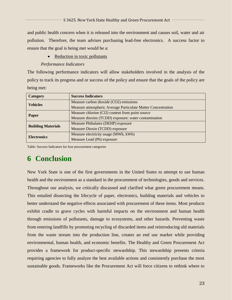and public health concern when it is released into the environment and causes soil, water and air pollution. Therefore, the team advises purchasing lead-free electronics. A success factor to ensure that the goal is being met would be a:

• Reduction in toxic pollutants

#### *Performance Indicators*

The following performance indicators will allow stakeholders involved in the analysis of the policy to track its progress and or success of the policy and ensure that the goals of the policy are being met:

| <b>Category</b>           | <b>Success Indicators</b>                                    |
|---------------------------|--------------------------------------------------------------|
| <b>Vehicles</b>           | Measure carbon dioxide (CO2) emissions                       |
|                           | Measure atmospheric Average Particulate Matter Concentration |
|                           | Measure chlorine (Cl2) content from point source             |
| Paper                     | Measure dioxins (TCDD) exposure; water contamination         |
|                           | Measure Phthalates (DEHP) exposure                           |
| <b>Building Materials</b> | Measure Dioxin (TCDD) exposure                               |
| <b>Electronics</b>        | Measure electricity usage (MWh, kWh)                         |
|                           | Measure Lead (Pb) exposure                                   |

Table: Success Indicators for four procurement categories

## **6 Conclusion**

New York State is one of the first governments in the United States to attempt to use human health and the environment as a standard in the procurement of technologies, goods and services. Throughout our analysis, we critically discussed and clarified what green procurement means. This entailed dissecting the lifecycle of paper, electronics, building materials and vehicles to better understand the negative effects associated with procurement of these items. Most products exhibit cradle to grave cycles with harmful impacts on the environment and human health through emissions of pollutants, damage to ecosystems, and other hazards. Preventing waste from entering landfills by promoting recycling of discarded items and reintroducing old materials from the waste stream into the production line, creates an end use market while providing environmental, human health, and economic benefits. The Healthy and Green Procurement Act provides a framework for product-specific stewardship. This stewardship presents criteria requiring agencies to fully analyze the best available actions and consistently purchase the most sustainable goods. Frameworks like the Procurement Act will force citizens to rethink where to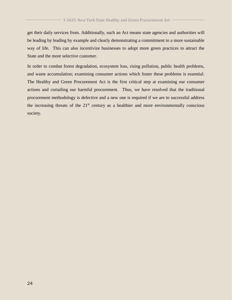get their daily services from. Additionally, such an Act means state agencies and authorities will be leading by leading by example and clearly demonstrating a commitment to a more sustainable way of life. This can also incentivize businesses to adopt more green practices to attract the State and the more selective customer.

In order to combat forest degradation, ecosystem loss, rising pollution, public health problems, and waste accumulation; examining consumer actions which foster these problems is essential. The Healthy and Green Procurement Act is the first critical step at examining our consumer actions and curtailing our harmful procurement. Thus, we have resolved that the traditional procurement methodology is defective and a new one is required if we are to successful address the increasing threats of the  $21<sup>st</sup>$  century as a healthier and more environmentally conscious society.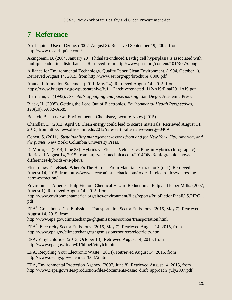## **7 Reference**

Air Liquide, Use of Ozone. (2007, August 8). Retrieved September 19, 2007, from http://www.us.airliquide.com/

Akingbemi, B. (2004, January 20). Phthalate-induced Leydig cell hyperplasia is associated with multiple endocrine disturbances. Retrieved from<http://www.pnas.org/content/101/3/775.long>

Alliance for Environmental Technology, Quality Paper Clean Environment. (1994, October 1). Retrieved August 14, 2015, from http://www.aet.org/epp/brochure\_0806.pdf

Annual Information Statement (2011, May 24). Retrieved August 14, 2015, from <https://www.budget.ny.gov/pubs/archive/fy1112archive/enacted1112/AIS/Final2011AIS.pdf>

Biermann, C. (1993). *Essentials of pulping and papermaking*. San Diego: Academic Press.

Black, H. (2005). Getting the Lead Out of Electronics. *Environmental Health Perspectives*, *113*(10), A682–A685.

Bostick, Ben *course:* Environmental Chemistry, Lecture Notes (2015).

Chandler, D. (2012, April 9). Clean energy could lead to scarce materials. Retrieved August 14, 2015, from<http://newsoffice.mit.edu/2012/rare-earth-alternative-energy-0409>

Cohen, S. (2011). *Sustainability management lessons from and for New York City, America, and the planet*. New York: Columbia University Press.

DeMorro, C. (2014, June 23). Hybrids vs Electric Vehicles vs Plug-in Hybrids (Infographic). Retrieved August 14, 2015, from http://cleantechnica.com/2014/06/23/infographic-showsdifferences-hybrids-evs-phevs/

Electronics TakeBack, Where's The Harm – From Materials Extraction? (n.d.). Retrieved August 14, 2015, from [http://www.electronicstakeback.com/toxics-in-electronics/wheres-the](http://www.electronicstakeback.com/toxics-in-electronics/wheres-the-harm-extraction/)[harm-extraction/](http://www.electronicstakeback.com/toxics-in-electronics/wheres-the-harm-extraction/)

Environment America, Pulp Fiction: Chemical Hazard Reduction at Pulp and Paper Mills. (2007, August 1). Retrieved August 14, 2015, from

http://www.environmentamerica.org/sites/environment/files/reports/PulpFictionFinalU.S.PIRG. pdf

EPA<sup>1</sup>, Greenhouse Gas Emissions: Transportation Sector Emissions. (2015, May 7). Retrieved August 14, 2015, from

http://www.epa.gov/climatechange/ghgemissions/sources/transportation.html

EPA<sup>2</sup>, Electricity Sector Emissions. (2015, May 7). Retrieved August 14, 2015, from <http://www.epa.gov/climatechange/ghgemissions/sources/electricity.html>

EPA, Vinyl chloride. (2013, October 13). Retrieved August 14, 2015, from http://www.epa.gov/ttnatw01/hlthef/vinylchl.htm

EPA, Recycling Your Electronic Waste. (2014). Retrieved August 14, 2015, from <http://www.dec.ny.gov/chemical/66872.html>

EPA, Environmental Protection Agency. (2007, June 8). Retrieved August 14, 2015, from http://www2.epa.gov/sites/production/files/documents/casac\_draft\_approach\_july2007.pdf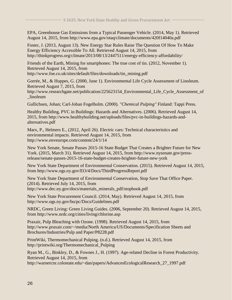EPA, Greenhouse Gas Emissions from a Typical Passenger Vehicle. (2014, May 1). Retrieved August 14, 2015, from http://www.epa.gov/otaq/climate/documents/420f14040a.pdf

Foster, J. (2013, August 13). New Energy Star Rules Raise The Question Of How To Make Energy Efficiency Accessible To All. Retrieved August 14, 2015, from http://thinkprogress.org/climate/2013/08/13/2447511/energy-efficiency-affordability/

Friends of the Earth, Mining for smartphones: The true cost of tin. (2012, November 1). Retrieved August 14, 2015, from http://www.foe.co.uk/sites/default/files/downloads/tin\_mining.pdf

Gorrée, M., & Huppes, G. (2000, June 1). Environmental Life Cycle Assessment of Linoleum. Retrieved August 7, 2015, from

http://www.researchgate.net/publication/225623154\_Environmental\_Life\_Cycle\_Assessment\_of \_linoleum

Gullichsen, Johan; Carl-Johan Fogelholm. (2000). *"Chemical Pulping"* Finland: Tappi Press.

Healthy Building, PVC in Buildings: Hazards and Alternatives. (2006). Retrieved August 14, 2015, from http://www.healthybuilding.net/uploads/files/pvc-in-buildings-hazards-andalternatives.pdf

Marx, P., Helmers E., (2012, April 26). Electric cars: Technical characteristics and environmental impacts. Retrieved August 14, 2015, from http://www.enveurope.com/content/24/1/14

New York Senate, Senate Passes 2015-16 State Budget That Creates a Brighter Future for New York. (2015, March 31). Retrieved August 14, 2015, from http://www.nysenate.gov/pressrelease/senate-passes-2015-16-state-budget-creates-brighter-future-new-york

New York State Department of Environmental Conservation. (2015). Retrieved August 14, 2015, from http://www.ogs.ny.gov/EO/4/Docs/ThirdProgressReport.pdf

New York State Department of Environmental Conservation, Stop Save That Office Paper. (2014). Retrieved July 14, 2015, from http://www.dec.ny.gov/docs/materials\_minerals\_pdf/stopbook.pdf

New York State Procurement Council. (2014, May). Retrieved August 14, 2015, from http://www.ogs.ny.gov/bu/pc/Docs/Guidelines.pdf

NRDC, Green Living: Green Living Guides. (2006, September 20). Retrieved August 14, 2015, from http://www.nrdc.org/cities/living/chlorine.asp

Praxair, Pulp Bleaching with Ozone. (1998). Retrieved August 14, 2015, from http://www.praxair.com/~/media/North America/US/Documents/Specification Sheets and Brochures/Industries/Pulp and Paper/P8228.pdf

PrintWiki, Thermomechanical Pulping. (n.d.). Retrieved August 14, 2015, from http://printwiki.org/Thermomechanical\_Pulping

Ryan M., G., Binkley, D., & Fownes J., H. (1997). Age-related Decline in Forest Productivity. Retrieved August 14, 2015, from http://warnercnr.colostate.edu/~dan/papers/AdvancesEcologicalResearch\_27\_1997.pdf

26